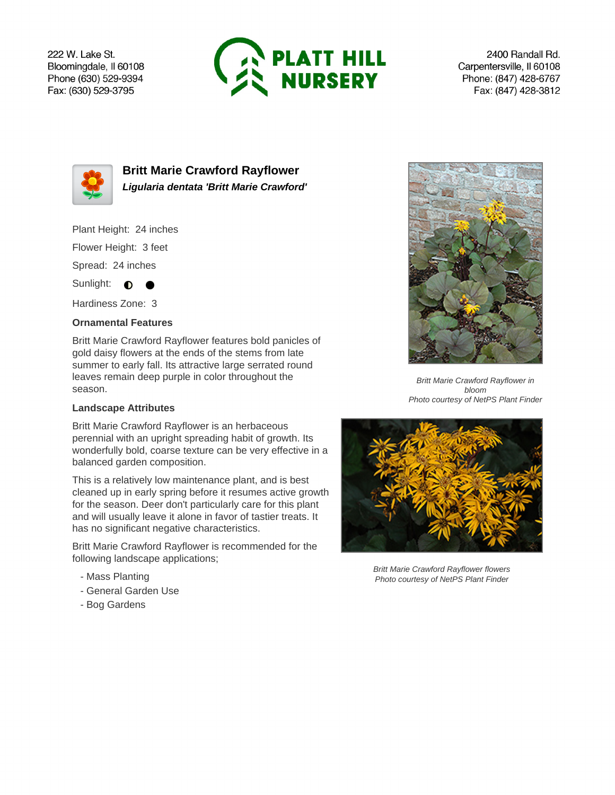222 W. Lake St. Bloomingdale, Il 60108 Phone (630) 529-9394 Fax: (630) 529-3795



2400 Randall Rd. Carpentersville, Il 60108 Phone: (847) 428-6767 Fax: (847) 428-3812



**Britt Marie Crawford Rayflower Ligularia dentata 'Britt Marie Crawford'**

Plant Height: 24 inches

Flower Height: 3 feet

Spread: 24 inches

Sunlight:  $\bullet$  $\bullet$ 

Hardiness Zone: 3

## **Ornamental Features**

Britt Marie Crawford Rayflower features bold panicles of gold daisy flowers at the ends of the stems from late summer to early fall. Its attractive large serrated round leaves remain deep purple in color throughout the season.

## **Landscape Attributes**

Britt Marie Crawford Rayflower is an herbaceous perennial with an upright spreading habit of growth. Its wonderfully bold, coarse texture can be very effective in a balanced garden composition.

This is a relatively low maintenance plant, and is best cleaned up in early spring before it resumes active growth for the season. Deer don't particularly care for this plant and will usually leave it alone in favor of tastier treats. It has no significant negative characteristics.

Britt Marie Crawford Rayflower is recommended for the following landscape applications;

- Mass Planting
- General Garden Use
- Bog Gardens



Britt Marie Crawford Rayflower in bloom Photo courtesy of NetPS Plant Finder



Britt Marie Crawford Rayflower flowers Photo courtesy of NetPS Plant Finder